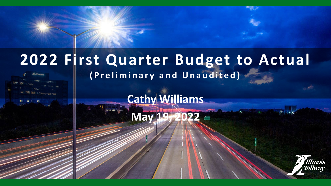# **2022 First Quarter Budget to Actual**

**(Preliminary and Unaudited)**

**Cathy Williams May 19, 2022**

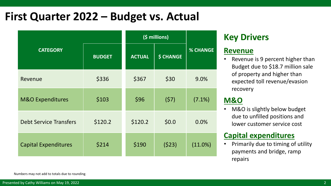## **First Quarter 2022 – Budget vs. Actual**

|                               |               |               | (\$ millions)    | <b>% CHANGE</b> |  |
|-------------------------------|---------------|---------------|------------------|-----------------|--|
| <b>CATEGORY</b>               | <b>BUDGET</b> | <b>ACTUAL</b> | <b>\$ CHANGE</b> |                 |  |
| Revenue                       | \$336         | \$367         | \$30             | 9.0%            |  |
| <b>M&amp;O Expenditures</b>   | \$103         | \$96          | (57)             | $(7.1\%)$       |  |
| <b>Debt Service Transfers</b> | \$120.2       | \$120.2       | \$0.0\$          | 0.0%            |  |
| <b>Capital Expenditures</b>   | \$214         | \$190         | (523)            | $(11.0\%)$      |  |

#### **Key Drivers**

#### **Revenue**

• Revenue is 9 percent higher than Budget due to \$18.7 million sale of property and higher than expected toll revenue/evasion recovery

#### **M&O**

M&O is slightly below budget due to unfilled positions and lower customer service cost

#### **Capital expenditures**

• Primarily due to timing of utility payments and bridge, ramp repairs

Numbers may not add to totals due to rounding.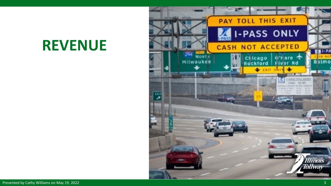# **REVENUE**

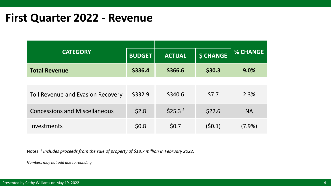### **First Quarter 2022 - Revenue**

| <b>CATEGORY</b>                          | <b>BUDGET</b> | <b>ACTUAL</b> | <b>\$ CHANGE</b> | <b>% CHANGE</b> |  |
|------------------------------------------|---------------|---------------|------------------|-----------------|--|
| <b>Total Revenue</b>                     | \$336.4       | \$366.6       | \$30.3           | 9.0%            |  |
|                                          |               |               |                  |                 |  |
| <b>Toll Revenue and Evasion Recovery</b> | \$332.9       | \$340.6       | \$7.7            | 2.3%            |  |
| <b>Concessions and Miscellaneous</b>     | \$2.8         | $$25.3$^1$    | \$22.6           | <b>NA</b>       |  |
| Investments                              | \$0.8\$       | \$0.7         | (50.1)           | $(7.9\%)$       |  |

Notes: *<sup>1</sup> Includes proceeds from the sale of property of \$18.7 million in February 2022.*

*Numbers may not add due to rounding*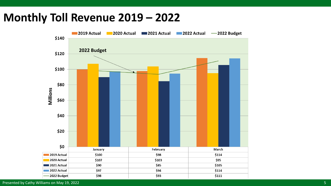## **Monthly Toll Revenue 2019 – 2022**



Presented by Cathy Williams on May 19, 2022 **5**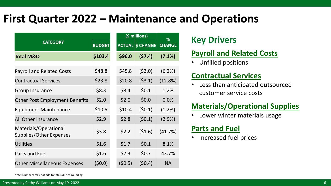## **First Quarter 2022 – Maintenance and Operations**

|                                                         |               |  | (\$ millions) | %                       |               |
|---------------------------------------------------------|---------------|--|---------------|-------------------------|---------------|
| <b>CATEGORY</b>                                         | <b>BUDGET</b> |  |               | <b>ACTUAL \$ CHANGE</b> | <b>CHANGE</b> |
| <b>Total M&amp;O</b>                                    | \$103.4       |  | \$96.0        | (57.4)                  | $(7.1\%)$     |
| <b>Payroll and Related Costs</b>                        | \$48.8        |  | \$45.8        | (53.0)                  | (6.2%)        |
| <b>Contractual Services</b>                             | \$23.8        |  | \$20.8        | (53.1)                  | (12.8%)       |
| Group Insurance                                         | \$8.3         |  | \$8.4         | \$0.1                   | 1.2%          |
| <b>Other Post Employment Benefits</b>                   | \$2.0         |  | \$2.0         | \$0.0\$                 | 0.0%          |
| <b>Equipment Maintenance</b>                            | \$10.5        |  | \$10.4        | (50.1)                  | (1.2%)        |
| All Other Insurance                                     | \$2.9         |  | \$2.8         | (50.1)                  | $(2.9\%)$     |
| Materials/Operational<br><b>Supplies/Other Expenses</b> | \$3.8         |  | \$2.2         | (51.6)                  | (41.7%)       |
| <b>Utilities</b>                                        | \$1.6         |  | \$1.7         | \$0.1                   | 8.1%          |
| Parts and Fuel                                          | \$1.6         |  | \$2.3         | \$0.7                   | 43.7%         |
| <b>Other Miscellaneous Expenses</b>                     | (50.0)        |  | (50.5)        | (50.4)                  | <b>NA</b>     |

#### **Key Drivers**

#### **Payroll and Related Costs**

• Unfilled positions

#### **Contractual Services**

• Less than anticipated outsourced customer service costs

#### **Materials/Operational Supplies**

• Lower winter materials usage

#### **Parts and Fuel**

• Increased fuel prices

Note: Numbers may not add to totals due to rounding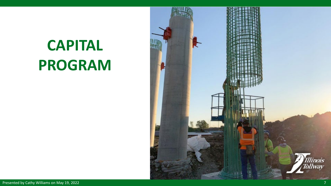

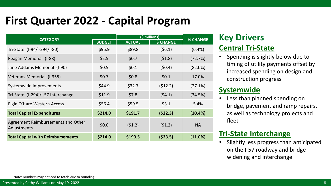# **First Quarter 2022 - Capital Program**

| <b>CATEGORY</b>                                   |               | (\$ millions) | <b>% CHANGE</b>  |            |
|---------------------------------------------------|---------------|---------------|------------------|------------|
|                                                   | <b>BUDGET</b> | <b>ACTUAL</b> | <b>\$ CHANGE</b> |            |
| Tri-State (I-94/I-294/I-80)                       | \$95.9        | \$89.8        | (56.1)           | $(6.4\%)$  |
| Reagan Memorial (I-88)                            | \$2.5         | \$0.7         | (51.8)           | (72.7%)    |
| Jane Addams Memorial (I-90)                       | \$0.5         | \$0.1         | (50.4)           | (82.0%)    |
| Veterans Memorial (I-355)                         | \$0.7         | \$0.8\$       | \$0.1            | 17.0%      |
| Systemwide Improvements                           | \$44.9        | \$32.7        | (512.2)          | (27.1%)    |
| Tri-State (I-294)/I-57 Interchange                | \$11.9        | \$7.8         | (54.1)           | (34.5%)    |
| Elgin O'Hare Western Access                       | \$56.4        | \$59.5        | \$3.1            | 5.4%       |
| <b>Total Capital Expenditures</b>                 | \$214.0       | \$191.7       | (522.3)          | (10.4%)    |
| Agreement Reimbursements and Other<br>Adjustments | \$0.0\$       | (51.2)        | (51.2)           | <b>NA</b>  |
| <b>Total Capital with Reimbursements</b>          | \$214.0       | \$190.5       | (523.5)          | $(11.0\%)$ |

#### **Key Drivers Central Tri-State**

Spending is slightly below due to timing of utility payments offset by increased spending on design and construction progress

#### **Systemwide**

• Less than planned spending on bridge, pavement and ramp repairs, as well as technology projects and fleet

#### **Tri-State Interchange**

• Slightly less progress than anticipated on the I-57 roadway and bridge widening and interchange

Note: Numbers may not add to totals due to rounding..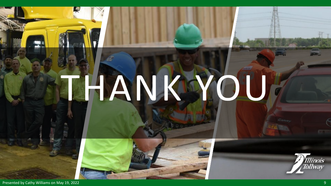# THANKWOU





Presented by Cathy Williams on May 19, 2022 **9**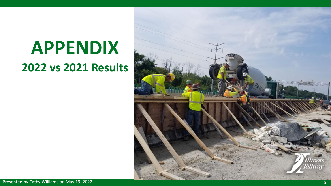# **APPENDIX 2022 vs 2021 Results**

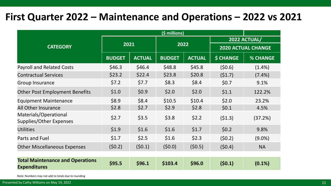#### **First Quarter 2022 – Maintenance and Operations – 2022 vs 2021**

| (\$ millions)                                                  |               |               |               |               |                           |                 |
|----------------------------------------------------------------|---------------|---------------|---------------|---------------|---------------------------|-----------------|
|                                                                |               |               |               |               | 2022 ACTUAL/              |                 |
| <b>CATEGORY</b>                                                | 2021          |               | 2022          |               | <b>2020 ACTUAL CHANGE</b> |                 |
|                                                                | <b>BUDGET</b> | <b>ACTUAL</b> | <b>BUDGET</b> | <b>ACTUAL</b> | <b>\$ CHANGE</b>          | <b>% CHANGE</b> |
| <b>Payroll and Related Costs</b>                               | \$46.3        | \$46.4        | \$48.8        | \$45.8        | (50.6)                    | $(1.4\%)$       |
| <b>Contractual Services</b>                                    | \$23.2        | \$22.4        | \$23.8        | \$20.8        | (51.7)                    | $(7.4\%)$       |
| <b>Group Insurance</b>                                         | \$7.2         | \$7.7         | \$8.3         | \$8.4         | \$0.7                     | 9.1%            |
| <b>Other Post Employment Benefits</b>                          | \$1.0         | \$0.9         | \$2.0         | \$2.0         | \$1.1                     | 122.2%          |
| <b>Equipment Maintenance</b>                                   | \$8.9         | \$8.4         | \$10.5        | \$10.4        | \$2.0                     | 23.2%           |
| All Other Insurance                                            | \$2.8         | \$2.7         | \$2.9         | \$2.8         | \$0.1                     | 4.5%            |
| Materials/Operational<br><b>Supplies/Other Expenses</b>        | \$2.7         | \$3.5         | \$3.8         | \$2.2         | (51.3)                    | (37.2%)         |
| <b>Utilities</b>                                               | \$1.9         | \$1.6         | \$1.6         | \$1.7         | \$0.2\$                   | 9.8%            |
| Parts and Fuel                                                 | \$1.7         | \$2.5         | \$1.6         | \$2.3         | (50.2)                    | $(9.0\%)$       |
| <b>Other Miscellaneous Expenses</b>                            | (50.2)        | (50.1)        | (50.0)        | (50.5)        | (50.4)                    | <b>NA</b>       |
|                                                                |               |               |               |               |                           |                 |
| <b>Total Maintenance and Operations</b><br><b>Expenditures</b> | \$95.5        | \$96.1        | \$103.4       | \$96.0        | (50.1)                    | $(0.1\%)$       |

Note: Numbers may not add to totals due to rounding